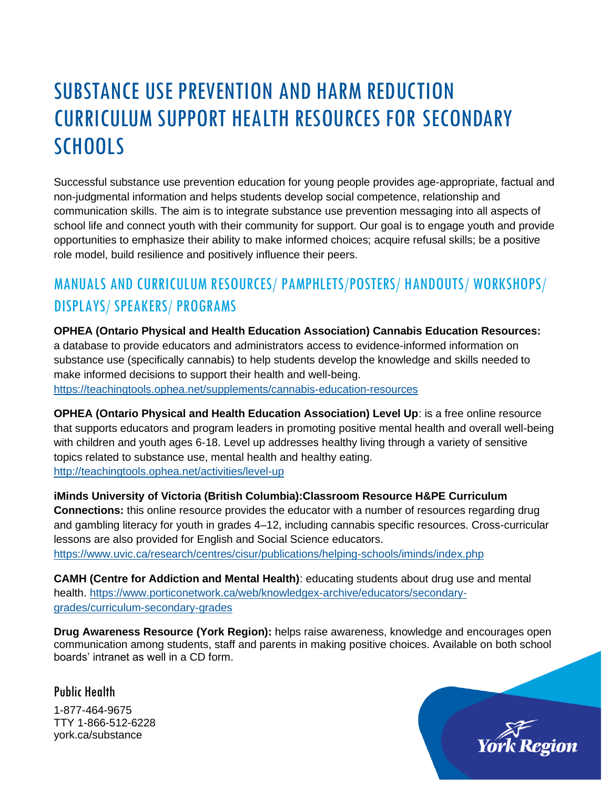# SUBSTANCE USE PREVENTION AND HARM REDUCTION CURRICULUM SUPPORT HEALTH RESOURCES FOR SECONDARY **SCHOOLS**

Successful substance use prevention education for young people provides age-appropriate, factual and non-judgmental information and helps students develop social competence, relationship and communication skills. The aim is to integrate substance use prevention messaging into all aspects of school life and connect youth with their community for support. Our goal is to engage youth and provide opportunities to emphasize their ability to make informed choices; acquire refusal skills; be a positive role model, build resilience and positively influence their peers.

## MANUALS AND CURRICULUM RESOURCES/ PAMPHLETS/POSTERS/ HANDOUTS/ WORKSHOPS/ DISPLAYS/ SPEAKERS/ PROGRAMS

**OPHEA (Ontario Physical and Health Education Association) Cannabis Education Resources:** a database to provide educators and administrators access to evidence-informed information on substance use (specifically cannabis) to help students develop the knowledge and skills needed to make informed decisions to support their health and well-being.

<https://teachingtools.ophea.net/supplements/cannabis-education-resources>

**OPHEA (Ontario Physical and Health Education Association) Level Up**: is a free online resource that supports educators and program leaders in promoting positive mental health and overall well-being with children and youth ages 6-18. Level up addresses healthy living through a variety of sensitive topics related to substance use, mental health and healthy eating. <http://teachingtools.ophea.net/activities/level-up>

**iMinds University of Victoria (British Columbia):Classroom Resource H&PE Curriculum Connections:** this online resource provides the educator with a number of resources regarding drug and gambling literacy for youth in grades 4–12, including cannabis specific resources. Cross-curricular lessons are also provided for English and Social Science educators. <https://www.uvic.ca/research/centres/cisur/publications/helping-schools/iminds/index.php>

**CAMH (Centre for Addiction and Mental Health)**: educating students about drug use and mental health. [https://www.porticonetwork.ca/web/knowledgex-archive/educators/secondary](https://www.porticonetwork.ca/web/knowledgex-archive/educators/secondary-grades/curriculum-secondary-grades)[grades/curriculum-secondary-grades](https://www.porticonetwork.ca/web/knowledgex-archive/educators/secondary-grades/curriculum-secondary-grades)

**Drug Awareness Resource (York Region):** helps raise awareness, knowledge and encourages open communication among students, staff and parents in making positive choices. Available on both school boards' intranet as well in a CD form.

Public Health

1-877-464-9675 TTY 1-866-512-6228 york.ca/substance

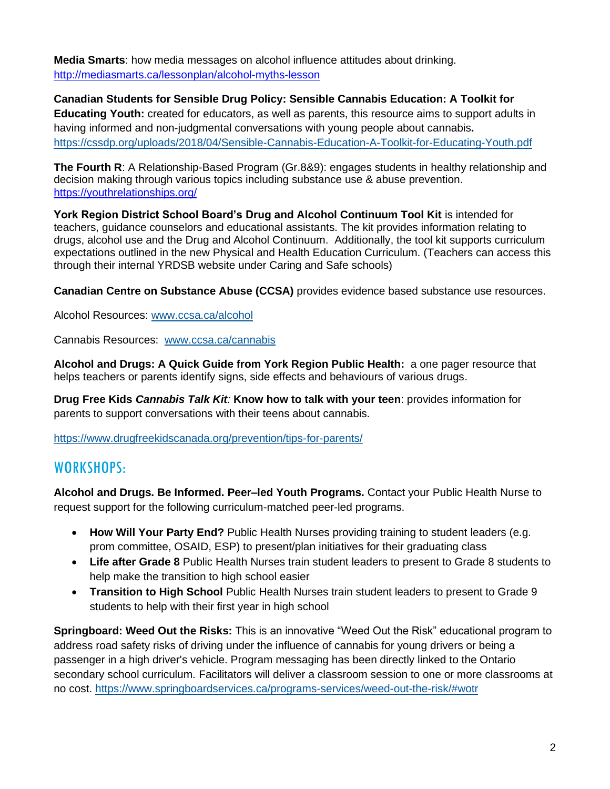**Media Smarts**: how media messages on alcohol influence attitudes about drinking. <http://mediasmarts.ca/lessonplan/alcohol-myths-lesson>

**Canadian Students for Sensible Drug Policy: Sensible Cannabis Education: A Toolkit for Educating Youth:** created for educators, as well as parents, this resource aims to support adults in having informed and non-judgmental conversations with young people about cannabis**.** <https://cssdp.org/uploads/2018/04/Sensible-Cannabis-Education-A-Toolkit-for-Educating-Youth.pdf>

**The Fourth R**: A Relationship-Based Program (Gr.8&9): engages students in healthy relationship and decision making through various topics including substance use & abuse prevention. <https://youthrelationships.org/>

**York Region District School Board's Drug and Alcohol Continuum Tool Kit** is intended for teachers, guidance counselors and educational assistants. The kit provides information relating to drugs, alcohol use and the Drug and Alcohol Continuum. Additionally, the tool kit supports curriculum expectations outlined in the new Physical and Health Education Curriculum. (Teachers can access this through their internal YRDSB website under Caring and Safe schools)

**Canadian Centre on Substance Abuse (CCSA)** provides evidence based substance use resources.

Alcohol Resources: [www.ccsa.ca/alcohol](http://www.ccsa.ca/alcohol)

Cannabis Resources: [www.ccsa.ca/cannabis](http://www.ccsa.ca/cannabis)

**Alcohol and Drugs: A Quick Guide from York Region Public Health:** a one pager resource that helps teachers or parents identify signs, side effects and behaviours of various drugs.

**Drug Free Kids** *Cannabis Talk Kit:* **Know how to talk with your teen**: provides information for parents to support conversations with their teens about cannabis.

<https://www.drugfreekidscanada.org/prevention/tips-for-parents/>

#### WORKSHOPS:

**Alcohol and Drugs. Be Informed. Peer–led Youth Programs.** Contact your Public Health Nurse to request support for the following curriculum-matched peer-led programs.

- **How Will Your Party End?** Public Health Nurses providing training to student leaders (e.g. prom committee, OSAID, ESP) to present/plan initiatives for their graduating class
- **Life after Grade 8** Public Health Nurses train student leaders to present to Grade 8 students to help make the transition to high school easier
- **Transition to High School** Public Health Nurses train student leaders to present to Grade 9 students to help with their first year in high school

**Springboard: Weed Out the Risks:** This is an innovative "Weed Out the Risk" educational program to address road safety risks of driving under the influence of cannabis for young drivers or being a passenger in a high driver's vehicle. Program messaging has been directly linked to the Ontario secondary school curriculum. Facilitators will deliver a classroom session to one or more classrooms at no cost.<https://www.springboardservices.ca/programs-services/weed-out-the-risk/#wotr>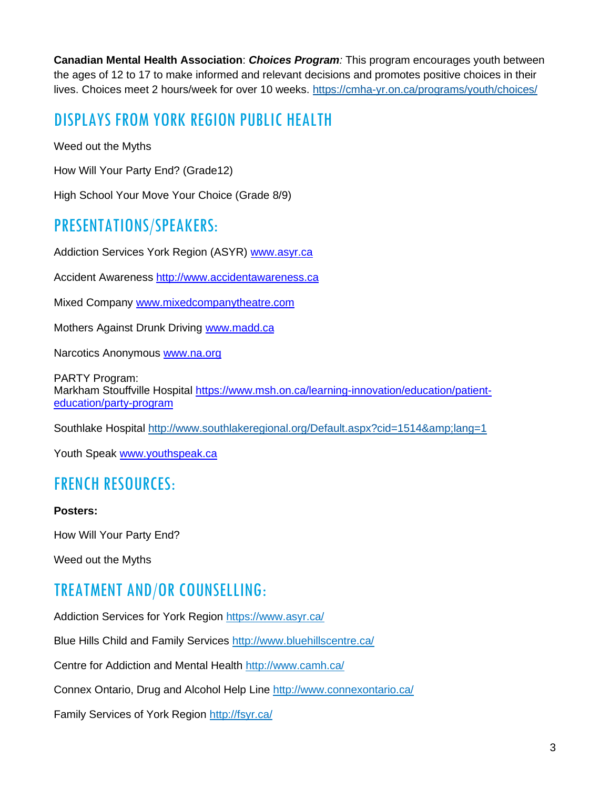**Canadian Mental Health Association**: *Choices Program:* This program encourages youth between the ages of 12 to 17 to make informed and relevant decisions and promotes positive choices in their lives. Choices meet 2 hours/week for over 10 weeks. <https://cmha-yr.on.ca/programs/youth/choices/>

#### DISPLAYS FROM YORK REGION PUBLIC HEALTH

Weed out the Myths

How Will Your Party End? (Grade12)

High School Your Move Your Choice (Grade 8/9)

#### PRESENTATIONS/SPEAKERS:

Addiction Services York Region (ASYR) [www.asyr.ca](http://www.asyr.ca/)

Accident Awareness [http://www.accidentawareness.ca](http://www.accidentawareness.ca/)

Mixed Company [www.mixedcompanytheatre.com](http://www.mixedcompanytheatre.com/)

Mothers Against Drunk Driving [www.madd.ca](http://www.madd.ca/)

Narcotics Anonymous [www.na.org](http://www.na.org/)

PARTY Program: Markham Stouffville Hospital [https://www.msh.on.ca/learning-innovation/education/patient](https://www.msh.on.ca/learning-innovation/education/patient-education/party-program)[education/party-program](https://www.msh.on.ca/learning-innovation/education/patient-education/party-program)

Southlake Hospital http://www.southlakeregional.org/Default.aspx?cid=1514&amp:lang=1

Youth Speak [www.youthspeak.ca](http://www.youthspeak.ca/)

#### FRENCH RESOURCES:

#### **Posters:**

How Will Your Party End?

Weed out the Myths

### TREATMENT AND/OR COUNSELLING:

Addiction Services for York Region<https://www.asyr.ca/>

Blue Hills Child and Family Services <http://www.bluehillscentre.ca/>

Centre for Addiction and Mental Health<http://www.camh.ca/>

Connex Ontario, Drug and Alcohol Help Line<http://www.connexontario.ca/>

Family Services of York Region<http://fsyr.ca/>